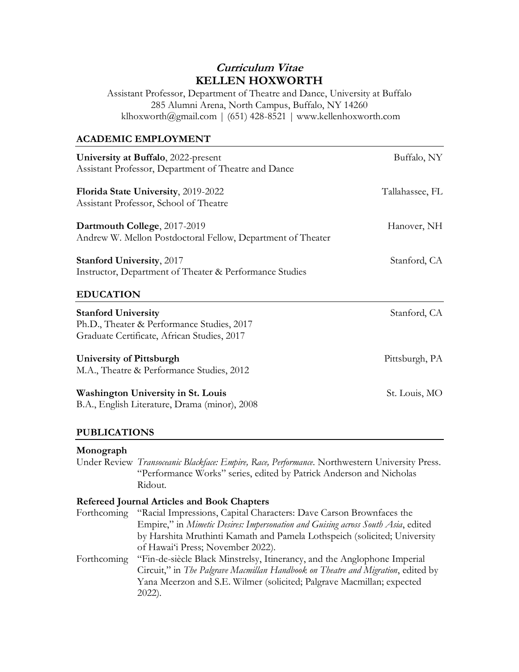# **Curriculum Vitae KELLEN HOXWORTH**

Assistant Professor, Department of Theatre and Dance, University at Buffalo 285 Alumni Arena, North Campus, Buffalo, NY 14260 klhoxworth@gmail.com | (651) 428-8521 | www.kellenhoxworth.com

### **ACADEMIC EMPLOYMENT**

| University at Buffalo, 2022-present<br>Assistant Professor, Department of Theatre and Dance                             | Buffalo, NY     |
|-------------------------------------------------------------------------------------------------------------------------|-----------------|
| Florida State University, 2019-2022<br>Assistant Professor, School of Theatre                                           | Tallahassee, FL |
| Dartmouth College, 2017-2019<br>Andrew W. Mellon Postdoctoral Fellow, Department of Theater                             | Hanover, NH     |
| <b>Stanford University</b> , 2017<br>Instructor, Department of Theater & Performance Studies                            | Stanford, CA    |
| <b>EDUCATION</b>                                                                                                        |                 |
| <b>Stanford University</b><br>Ph.D., Theater & Performance Studies, 2017<br>Graduate Certificate, African Studies, 2017 | Stanford, CA    |
| <b>University of Pittsburgh</b><br>M.A., Theatre & Performance Studies, 2012                                            | Pittsburgh, PA  |
| <b>Washington University in St. Louis</b><br>B.A., English Literature, Drama (minor), 2008                              | St. Louis, MO   |
|                                                                                                                         |                 |

### **PUBLICATIONS**

### **Monograph**

Under Review *Transoceanic Blackface: Empire, Race, Performance*. Northwestern University Press. "Performance Works" series, edited by Patrick Anderson and Nicholas Ridout.

### **Refereed Journal Articles and Book Chapters**

Forthcoming "Racial Impressions, Capital Characters: Dave Carson Brownfaces the Empire," in *Mimetic Desires: Impersonation and Guising across South Asia*, edited by Harshita Mruthinti Kamath and Pamela Lothspeich (solicited; University of Hawai'i Press; November 2022).

Forthcoming "Fin-de-siècle Black Minstrelsy, Itinerancy, and the Anglophone Imperial Circuit," in *The Palgrave Macmillan Handbook on Theatre and Migration*, edited by Yana Meerzon and S.E. Wilmer (solicited; Palgrave Macmillan; expected 2022).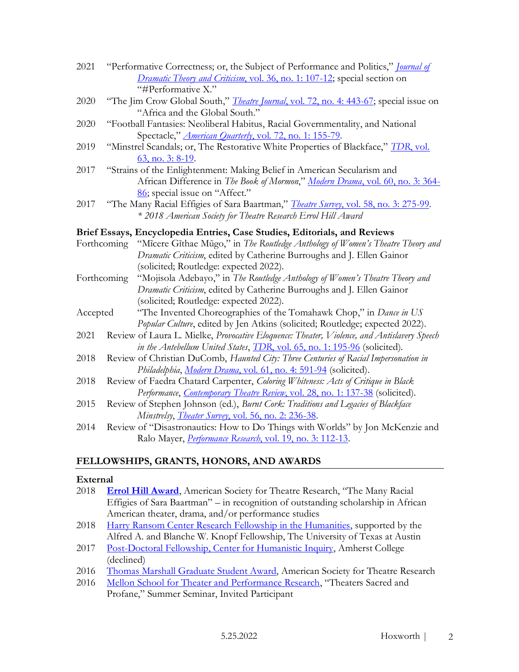- 2021 "Performative Correctness; or, the Subject of Performance and Politics," *[Journal of](https://muse.jhu.edu/article/801569)  [Dramatic Theory and Criticism](https://muse.jhu.edu/article/801569)*, vol. 36, no. 1: 107-12; special section on "#Performative X."
- 2020 "The Jim Crow Global South," *Theatre Journal*[, vol. 72, no. 4: 443-67;](http://doi.org/10.1353/tj.2020.0099) special issue on "Africa and the Global South."
- 2020 "Football Fantasies: Neoliberal Habitus, Racial Governmentality, and National Spectacle," *American Quarterly*[, vol. 72, no. 1: 155-79.](http://doi.org/10.1353/aq.2020.0007)
- 2019 "Minstrel Scandals; or, The Restorative White Properties of Blackface," *TDR*[, vol.](https://doi.org/10.1162/dram_a_00853)  [63, no. 3: 8-19.](https://doi.org/10.1162/dram_a_00853)
- 2017 "Strains of the Enlightenment: Making Belief in American Secularism and African Difference in *The Book of Mormon*," *Modern Drama*[, vol. 60, no. 3: 364-](https://doi.org/10.3138/md.0814) [86](https://doi.org/10.3138/md.0814); special issue on "Affect."
- 2017 "The Many Racial Effigies of Sara Baartman," *Theatre Survey*[, vol. 58, no. 3: 275-99.](https://doi.org/10.1017/S0040557417000254) *\* 2018 American Society for Theatre Research Errol Hill Award*

### **Brief Essays, Encyclopedia Entries, Case Studies, Editorials, and Reviews**

- Forthcoming "Mĩcere Gĩthae Mũgo," in *The Routledge Anthology of Women's Theatre Theory and Dramatic Criticism*, edited by Catherine Burroughs and J. Ellen Gainor (solicited; Routledge: expected 2022).
- Forthcoming "Mojisola Adebayo," in *The Routledge Anthology of Women's Theatre Theory and Dramatic Criticism*, edited by Catherine Burroughs and J. Ellen Gainor (solicited; Routledge: expected 2022).
- Accepted "The Invented Choreographies of the Tomahawk Chop," in *Dance in US Popular Culture*, edited by Jen Atkins (solicited; Routledge; expected 2022).
- 2021 Review of Laura L. Mielke, *Provocative Eloquence: Theater, Violence, and Antislavery Speech in the Antebellum United States*, *TDR*, vol. [65, no. 1: 195-96](https://doi.org/10.1017/S1054204320000180) (solicited).
- 2018 Review of Christian DuComb, *Haunted City: Three Centuries of Racial Impersonation in Philadelphia*, *Modern Drama*[, vol. 61, no. 4: 591-94](http://doi.org/10.3138/md.61.4.br3) (solicited).
- 2018 Review of Faedra Chatard Carpenter, *Coloring Whiteness: Acts of Critique in Black Performance*, *[Contemporary Theatre Review](http://doi.org/10.1080/10486801.2018.1426906)*, vol. 28, no. 1: 137-38 (solicited).
- 2015 Review of Stephen Johnson (ed.), *Burnt Cork: Traditions and Legacies of Blackface Minstrelsy*, *Theater Survey*[, vol. 56, no. 2: 236-38.](http://doi.org/10.1017/S0040557415000113)
- 2014 Review of "Disastronautics: How to Do Things with Worlds" by Jon McKenzie and Ralo Mayer, *Performance Research*[, vol. 19, no. 3: 112-13.](http://doi.org/10.1080/13528165.2014.935195)

# **FELLOWSHIPS, GRANTS, HONORS, AND AWARDS**

### **External**

- 2018 **[Errol Hill Award](https://www.astr.org/page/AwardWinnerArchive#errolhill)**, American Society for Theatre Research, "The Many Racial Effigies of Sara Baartman" – in recognition of outstanding scholarship in African American theater, drama, and/or performance studies
- 2018 [Harry Ransom Center Research Fellowship in the Humanities,](https://www.hrc.utexas.edu/fellowships/recipients/) supported by the Alfred A. and Blanche W. Knopf Fellowship, The University of Texas at Austin
- 2017 [Post-Doctoral Fellowship, Center for Humanistic Inquiry,](https://www.amherst.edu/academiclife/colloquia/center-humanistic-inquiry/fellows) Amherst College (declined)
- 2016 [Thomas Marshall Graduate Student Award,](https://www.astr.org/page/AwardWinnerArchive#thomasmarshall) American Society for Theatre Research
- 2016 [Mellon School for Theater and Performance Research](https://mellonschool.fas.harvard.edu/2016-session), "Theaters Sacred and Profane," Summer Seminar, Invited Participant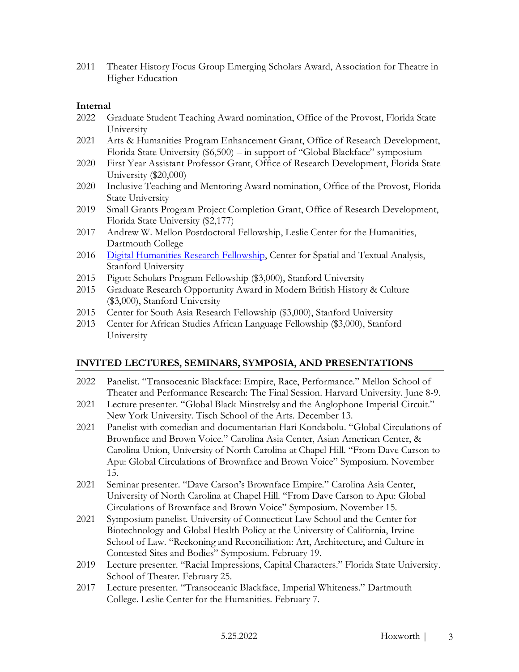2011 Theater History Focus Group Emerging Scholars Award, Association for Theatre in Higher Education

### **Internal**

- 2022 Graduate Student Teaching Award nomination, Office of the Provost, Florida State University
- 2021 Arts & Humanities Program Enhancement Grant, Office of Research Development, Florida State University (\$6,500) – in support of "Global Blackface" symposium
- 2020 First Year Assistant Professor Grant, Office of Research Development, Florida State University (\$20,000)
- 2020 Inclusive Teaching and Mentoring Award nomination, Office of the Provost, Florida State University
- 2019 Small Grants Program Project Completion Grant, Office of Research Development, Florida State University (\$2,177)
- 2017 Andrew W. Mellon Postdoctoral Fellowship, Leslie Center for the Humanities, Dartmouth College
- 2016 [Digital Humanities Research Fellowship,](https://cesta.stanford.edu/dhgf) Center for Spatial and Textual Analysis, Stanford University
- 2015 Pigott Scholars Program Fellowship (\$3,000), Stanford University
- 2015 Graduate Research Opportunity Award in Modern British History & Culture (\$3,000), Stanford University
- 2015 Center for South Asia Research Fellowship (\$3,000), Stanford University
- 2013 Center for African Studies African Language Fellowship (\$3,000), Stanford University

# **INVITED LECTURES, SEMINARS, SYMPOSIA, AND PRESENTATIONS**

- 2022 Panelist. "Transoceanic Blackface: Empire, Race, Performance." Mellon School of Theater and Performance Research: The Final Session. Harvard University. June 8-9.
- 2021 Lecture presenter. "Global Black Minstrelsy and the Anglophone Imperial Circuit." New York University. Tisch School of the Arts. December 13.
- 2021 Panelist with comedian and documentarian Hari Kondabolu. "Global Circulations of Brownface and Brown Voice." Carolina Asia Center, Asian American Center, & Carolina Union, University of North Carolina at Chapel Hill. "From Dave Carson to Apu: Global Circulations of Brownface and Brown Voice" Symposium. November 15.
- 2021 Seminar presenter. "Dave Carson's Brownface Empire." Carolina Asia Center, University of North Carolina at Chapel Hill. "From Dave Carson to Apu: Global Circulations of Brownface and Brown Voice" Symposium. November 15.
- 2021 Symposium panelist. University of Connecticut Law School and the Center for Biotechnology and Global Health Policy at the University of California, Irvine School of Law. "Reckoning and Reconciliation: Art, Architecture, and Culture in Contested Sites and Bodies" Symposium. February 19.
- 2019 Lecture presenter. "Racial Impressions, Capital Characters." Florida State University. School of Theater. February 25.
- 2017 Lecture presenter. "Transoceanic Blackface, Imperial Whiteness." Dartmouth College. Leslie Center for the Humanities. February 7.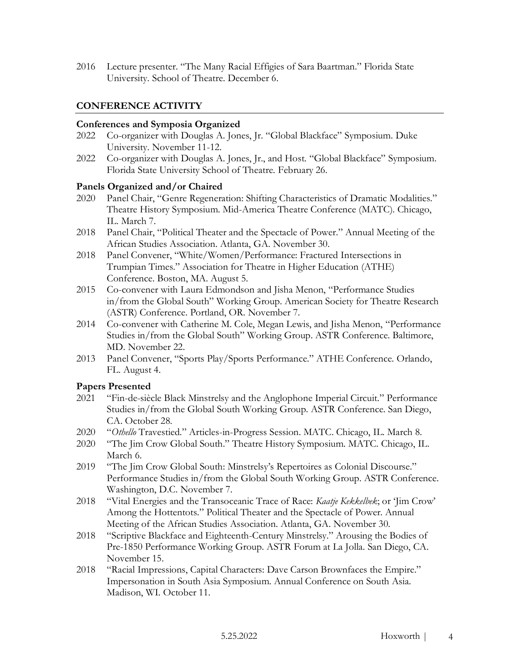2016 Lecture presenter. "The Many Racial Effigies of Sara Baartman." Florida State University. School of Theatre. December 6.

### **CONFERENCE ACTIVITY**

#### **Conferences and Symposia Organized**

- 2022 Co-organizer with Douglas A. Jones, Jr. "Global Blackface" Symposium. Duke University. November 11-12.
- 2022 Co-organizer with Douglas A. Jones, Jr., and Host. "Global Blackface" Symposium. Florida State University School of Theatre. February 26.

### **Panels Organized and/or Chaired**

- 2020 Panel Chair, "Genre Regeneration: Shifting Characteristics of Dramatic Modalities." Theatre History Symposium. Mid-America Theatre Conference (MATC). Chicago, IL. March 7.
- 2018 Panel Chair, "Political Theater and the Spectacle of Power." Annual Meeting of the African Studies Association. Atlanta, GA. November 30.
- 2018 Panel Convener, "White/Women/Performance: Fractured Intersections in Trumpian Times." Association for Theatre in Higher Education (ATHE) Conference. Boston, MA. August 5.
- 2015 Co-convener with Laura Edmondson and Jisha Menon, "Performance Studies in/from the Global South" Working Group. American Society for Theatre Research (ASTR) Conference. Portland, OR. November 7.
- 2014 Co-convener with Catherine M. Cole, Megan Lewis, and Jisha Menon, "Performance Studies in/from the Global South" Working Group. ASTR Conference. Baltimore, MD. November 22.
- 2013 Panel Convener, "Sports Play/Sports Performance." ATHE Conference. Orlando, FL. August 4.

### **Papers Presented**

- 2021 "Fin-de-siècle Black Minstrelsy and the Anglophone Imperial Circuit." Performance Studies in/from the Global South Working Group. ASTR Conference. San Diego, CA. October 28.
- 2020 "*Othello* Travestied." Articles-in-Progress Session. MATC. Chicago, IL. March 8.
- 2020 "The Jim Crow Global South." Theatre History Symposium. MATC. Chicago, IL. March 6.
- 2019 "The Jim Crow Global South: Minstrelsy's Repertoires as Colonial Discourse." Performance Studies in/from the Global South Working Group. ASTR Conference. Washington, D.C. November 7.
- 2018 "Vital Energies and the Transoceanic Trace of Race: *Kaatje Kekkelbek*; or 'Jim Crow' Among the Hottentots." Political Theater and the Spectacle of Power. Annual Meeting of the African Studies Association. Atlanta, GA. November 30.
- 2018 "Scriptive Blackface and Eighteenth-Century Minstrelsy." Arousing the Bodies of Pre-1850 Performance Working Group. ASTR Forum at La Jolla. San Diego, CA. November 15.
- 2018 "Racial Impressions, Capital Characters: Dave Carson Brownfaces the Empire." Impersonation in South Asia Symposium. Annual Conference on South Asia. Madison, WI. October 11.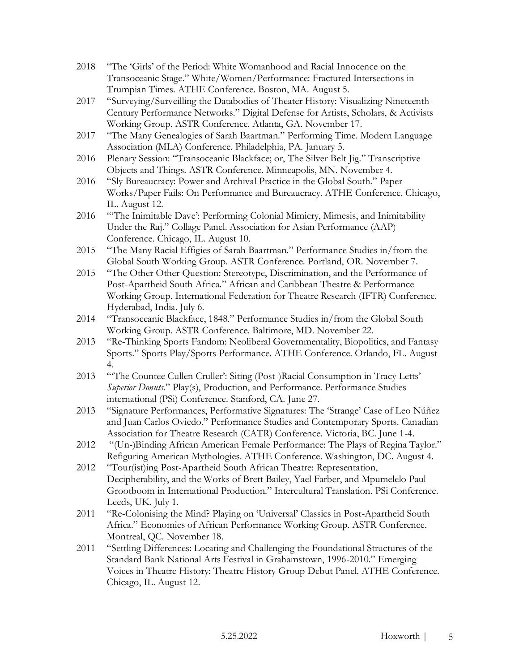- 2018 "The 'Girls' of the Period: White Womanhood and Racial Innocence on the Transoceanic Stage." White/Women/Performance: Fractured Intersections in Trumpian Times. ATHE Conference. Boston, MA. August 5.
- 2017 "Surveying/Surveilling the Databodies of Theater History: Visualizing Nineteenth-Century Performance Networks." Digital Defense for Artists, Scholars, & Activists Working Group. ASTR Conference. Atlanta, GA. November 17.
- 2017 "The Many Genealogies of Sarah Baartman." Performing Time. Modern Language Association (MLA) Conference. Philadelphia, PA. January 5.
- 2016 Plenary Session: "Transoceanic Blackface; or, The Silver Belt Jig." Transcriptive Objects and Things. ASTR Conference. Minneapolis, MN. November 4.
- 2016 "Sly Bureaucracy: Power and Archival Practice in the Global South." Paper Works/Paper Fails: On Performance and Bureaucracy. ATHE Conference. Chicago, IL. August 12.
- 2016 "'The Inimitable Dave': Performing Colonial Mimicry, Mimesis, and Inimitability Under the Raj." Collage Panel. Association for Asian Performance (AAP) Conference. Chicago, IL. August 10.
- 2015 "The Many Racial Effigies of Sarah Baartman." Performance Studies in/from the Global South Working Group. ASTR Conference. Portland, OR. November 7.
- 2015 "The Other Other Question: Stereotype, Discrimination, and the Performance of Post-Apartheid South Africa." African and Caribbean Theatre & Performance Working Group. International Federation for Theatre Research (IFTR) Conference. Hyderabad, India. July 6.
- 2014 "Transoceanic Blackface, 1848." Performance Studies in/from the Global South Working Group. ASTR Conference. Baltimore, MD. November 22.
- 2013 "Re-Thinking Sports Fandom: Neoliberal Governmentality, Biopolitics, and Fantasy Sports." Sports Play/Sports Performance. ATHE Conference. Orlando, FL. August 4.
- 2013 "'The Countee Cullen Cruller': Siting (Post-)Racial Consumption in Tracy Letts' *Superior Donuts*." Play(s), Production, and Performance. Performance Studies international (PSi) Conference. Stanford, CA. June 27.
- 2013 "Signature Performances, Performative Signatures: The 'Strange' Case of Leo Núñez and Juan Carlos Oviedo." Performance Studies and Contemporary Sports. Canadian Association for Theatre Research (CATR) Conference. Victoria, BC. June 1-4.
- 2012 "(Un-)Binding African American Female Performance: The Plays of Regina Taylor." Refiguring American Mythologies. ATHE Conference. Washington, DC. August 4.
- 2012 "Tour(ist)ing Post-Apartheid South African Theatre: Representation, Decipherability, and the Works of Brett Bailey, Yael Farber, and Mpumelelo Paul Grootboom in International Production." Intercultural Translation. PSi Conference. Leeds, UK. July 1.
- 2011 "Re-Colonising the Mind? Playing on 'Universal' Classics in Post-Apartheid South Africa." Economies of African Performance Working Group. ASTR Conference. Montreal, QC. November 18.
- 2011 "Settling Differences: Locating and Challenging the Foundational Structures of the Standard Bank National Arts Festival in Grahamstown, 1996-2010." Emerging Voices in Theatre History: Theatre History Group Debut Panel. ATHE Conference. Chicago, IL. August 12.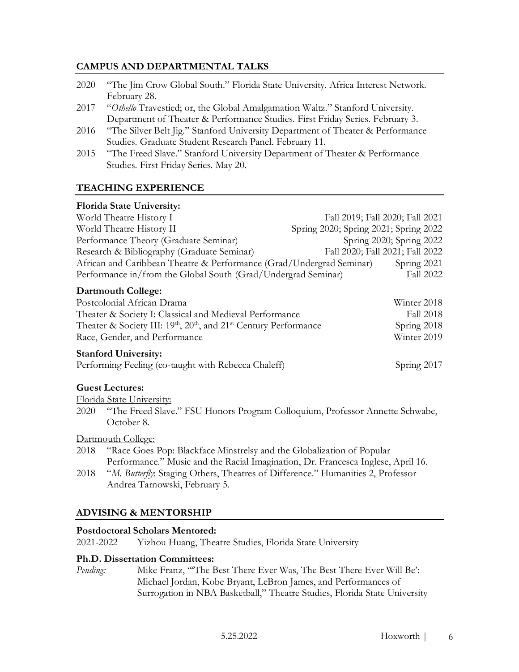### **CAMPUS AND DEPARTMENTAL TALKS**

- 2020 "The Jim Crow Global South." Florida State University. Africa Interest Network. February 28.
- 2017 "*Othello* Travestied; or, the Global Amalgamation Waltz." Stanford University. Department of Theater & Performance Studies. First Friday Series. February 3.
- 2016 "The Silver Belt Jig." Stanford University Department of Theater & Performance Studies. Graduate Student Research Panel. February 11.
- 2015 "The Freed Slave." Stanford University Department of Theater & Performance Studies. First Friday Series. May 20.

### **TEACHING EXPERIENCE**

### **Florida State University:**

| World Theatre History I                                              | Fall 2019; Fall 2020; Fall 2021       |                                 |
|----------------------------------------------------------------------|---------------------------------------|---------------------------------|
| World Theatre History II                                             | Spring 2020; Spring 2021; Spring 2022 |                                 |
| Performance Theory (Graduate Seminar)                                |                                       | Spring 2020; Spring 2022        |
| Research & Bibliography (Graduate Seminar)                           |                                       | Fall 2020; Fall 2021; Fall 2022 |
| African and Caribbean Theatre & Performance (Grad/Undergrad Seminar) |                                       | Spring 2021                     |
| Performance in/from the Global South (Grad/Undergrad Seminar)        |                                       | <b>Fall 2022</b>                |
|                                                                      |                                       |                                 |

#### **Dartmouth College:**

| Postcolonial African Drama                                                                            | Winter 2018 |
|-------------------------------------------------------------------------------------------------------|-------------|
| Theater & Society I: Classical and Medieval Performance                                               | Fall 2018   |
| Theater & Society III: 19 <sup>th</sup> , 20 <sup>th</sup> , and 21 <sup>st</sup> Century Performance | Spring 2018 |
| Winter 2019<br>Race, Gender, and Performance                                                          |             |
| <b>Stanford University:</b>                                                                           |             |

Performing Feeling (co-taught with Rebecca Chaleff) Spring 2017

### **Guest Lectures:**

Florida State University:

2020 "The Freed Slave." FSU Honors Program Colloquium, Professor Annette Schwabe, October 8.

Dartmouth College:

- 2018 "Race Goes Pop: Blackface Minstrelsy and the Globalization of Popular Performance." Music and the Racial Imagination, Dr. Francesca Inglese, April 16.
- 2018 "*M. Butterfly: Staging Others, Theatres of Difference." Humanities 2, Professor* Andrea Tarnowski, February 5.

# **ADVISING & MENTORSHIP**

### **Postdoctoral Scholars Mentored:**

2021-2022 Yizhou Huang, Theatre Studies, Florida State University

### **Ph.D. Dissertation Committees:**

*Pending:* Mike Franz, "'The Best There Ever Was, The Best There Ever Will Be': Michael Jordan, Kobe Bryant, LeBron James, and Performances of Surrogation in NBA Basketball," Theatre Studies, Florida State University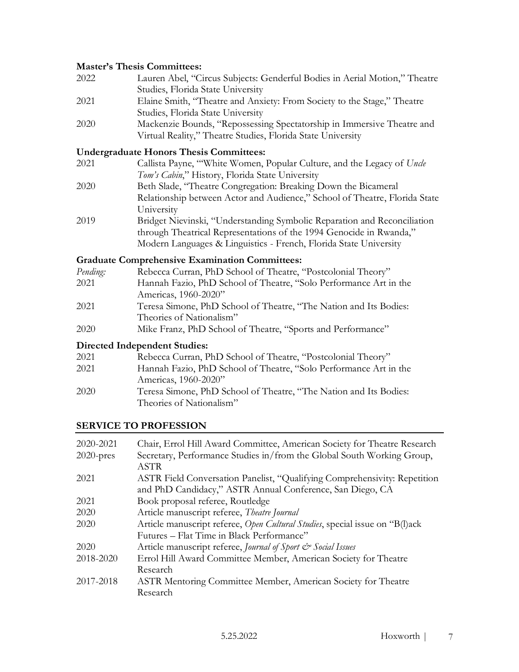### **Master's Thesis Committees:**

| 2022 | Lauren Abel, "Circus Subjects: Genderful Bodies in Aerial Motion," Theatre |
|------|----------------------------------------------------------------------------|
|      | Studies, Florida State University                                          |
| 2021 | Elaine Smith, "Theatre and Anxiety: From Society to the Stage," Theatre    |
|      | Studies, Florida State University                                          |
| 2020 | Mackenzie Bounds, "Repossessing Spectatorship in Immersive Theatre and     |
|      | Virtual Reality," Theatre Studies, Florida State University                |

### **Undergraduate Honors Thesis Committees:**

| 2021 | Callista Payne, "White Women, Popular Culture, and the Legacy of Uncle     |
|------|----------------------------------------------------------------------------|
|      | Tom's Cabin," History, Florida State University                            |
| 2020 | Beth Slade, "Theatre Congregation: Breaking Down the Bicameral             |
|      | Relationship between Actor and Audience," School of Theatre, Florida State |
|      | University                                                                 |
| 2019 | Bridget Nievinski, "Understanding Symbolic Reparation and Reconciliation   |
|      | through Theatrical Representations of the 1994 Genocide in Rwanda,"        |
|      | Modern Languages & Linguistics - French, Florida State University          |

### **Graduate Comprehensive Examination Committees:**

| Rebecca Curran, PhD School of Theatre, "Postcolonial Theory"      |
|-------------------------------------------------------------------|
| Hannah Fazio, PhD School of Theatre, "Solo Performance Art in the |
| Americas, 1960-2020"                                              |
| Teresa Simone, PhD School of Theatre, "The Nation and Its Bodies: |
| Theories of Nationalism"                                          |
| Mike Franz, PhD School of Theatre, "Sports and Performance"       |
|                                                                   |

### **Directed Independent Studies:**

| 2021 | Rebecca Curran, PhD School of Theatre, "Postcolonial Theory"                                  |
|------|-----------------------------------------------------------------------------------------------|
| 2021 | Hannah Fazio, PhD School of Theatre, "Solo Performance Art in the                             |
|      | Americas, 1960-2020"                                                                          |
| 2020 | Teresa Simone, PhD School of Theatre, "The Nation and Its Bodies:<br>Theories of Nationalism" |

# **SERVICE TO PROFESSION**

| 2020-2021    | Chair, Errol Hill Award Committee, American Society for Theatre Research     |
|--------------|------------------------------------------------------------------------------|
| $2020$ -pres | Secretary, Performance Studies in/from the Global South Working Group,       |
|              | <b>ASTR</b>                                                                  |
| 2021         | ASTR Field Conversation Panelist, "Qualifying Comprehensivity: Repetition    |
|              | and PhD Candidacy," ASTR Annual Conference, San Diego, CA                    |
| 2021         | Book proposal referee, Routledge                                             |
| 2020         | Article manuscript referee, Theatre Journal                                  |
| 2020         | Article manuscript referee, Open Cultural Studies, special issue on "B(l)ack |
|              | Futures – Flat Time in Black Performance"                                    |
| 2020         | Article manuscript referee, Journal of Sport & Social Issues                 |
| 2018-2020    | Errol Hill Award Committee Member, American Society for Theatre              |
|              | Research                                                                     |
| 2017-2018    | ASTR Mentoring Committee Member, American Society for Theatre                |
|              | Research                                                                     |
|              |                                                                              |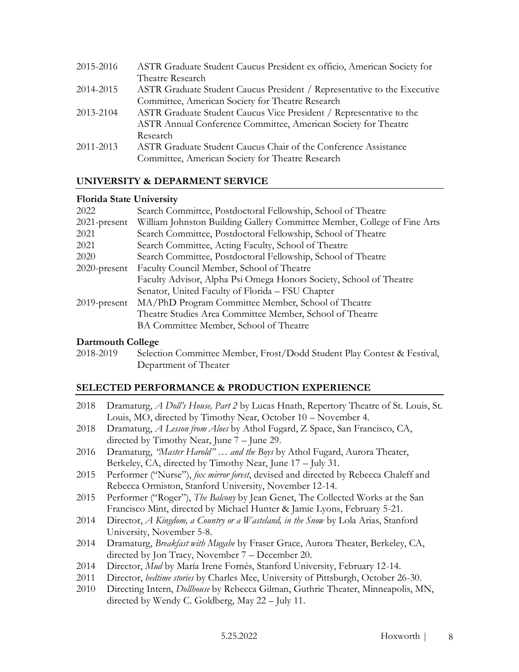| 2015-2016 | ASTR Graduate Student Caucus President ex officio, American Society for  |
|-----------|--------------------------------------------------------------------------|
|           | Theatre Research                                                         |
| 2014-2015 | ASTR Graduate Student Caucus President / Representative to the Executive |
|           | Committee, American Society for Theatre Research                         |
| 2013-2104 | ASTR Graduate Student Caucus Vice President / Representative to the      |
|           | ASTR Annual Conference Committee, American Society for Theatre           |
|           | Research                                                                 |
| 2011-2013 | ASTR Graduate Student Caucus Chair of the Conference Assistance          |
|           | Committee, American Society for Theatre Research                         |

### **UNIVERSITY & DEPARMENT SERVICE**

### **Florida State University**

| 2022            | Search Committee, Postdoctoral Fellowship, School of Theatre             |
|-----------------|--------------------------------------------------------------------------|
| $2021$ -present | William Johnston Building Gallery Committee Member, College of Fine Arts |
| 2021            | Search Committee, Postdoctoral Fellowship, School of Theatre             |
| 2021            | Search Committee, Acting Faculty, School of Theatre                      |
| 2020            | Search Committee, Postdoctoral Fellowship, School of Theatre             |
| $2020$ -present | Faculty Council Member, School of Theatre                                |
|                 | Faculty Advisor, Alpha Psi Omega Honors Society, School of Theatre       |
|                 | Senator, United Faculty of Florida – FSU Chapter                         |
| $2019$ -present | MA/PhD Program Committee Member, School of Theatre                       |
|                 | Theatre Studies Area Committee Member, School of Theatre                 |
|                 | BA Committee Member, School of Theatre                                   |

### **Dartmouth College**

2018-2019 Selection Committee Member, Frost/Dodd Student Play Contest & Festival, Department of Theater

# **SELECTED PERFORMANCE & PRODUCTION EXPERIENCE**

- 2018 Dramaturg, *A Doll's House, Part 2* by Lucas Hnath, Repertory Theatre of St. Louis, St. Louis, MO, directed by Timothy Near, October 10 – November 4.
- 2018 Dramaturg, *A Lesson from Aloes* by Athol Fugard, Z Space, San Francisco, CA, directed by Timothy Near, June 7 – June 29.
- 2016 Dramaturg, *"Master Harold" … and the Boys* by Athol Fugard, Aurora Theater, Berkeley, CA, directed by Timothy Near, June 17 – July 31.
- 2015 Performer ("Nurse"), *fox mirror forest*, devised and directed by Rebecca Chaleff and Rebecca Ormiston, Stanford University, November 12-14.
- 2015 Performer ("Roger"), *The Balcony* by Jean Genet, The Collected Works at the San Francisco Mint, directed by Michael Hunter & Jamie Lyons, February 5-21.
- 2014 Director, *A Kingdom, a Country or a Wasteland, in the Snow* by Lola Arias, Stanford University, November 5-8.
- 2014 Dramaturg, *Breakfast with Mugabe* by Fraser Grace, Aurora Theater, Berkeley, CA, directed by Jon Tracy, November 7 – December 20.
- 2014 Director, *Mud* by María Irene Fornés, Stanford University, February 12-14.
- 2011 Director, *bedtime stories* by Charles Mee, University of Pittsburgh, October 26-30.
- 2010 Directing Intern, *Dollhouse* by Rebecca Gilman, Guthrie Theater, Minneapolis, MN, directed by Wendy C. Goldberg, May 22 – July 11.